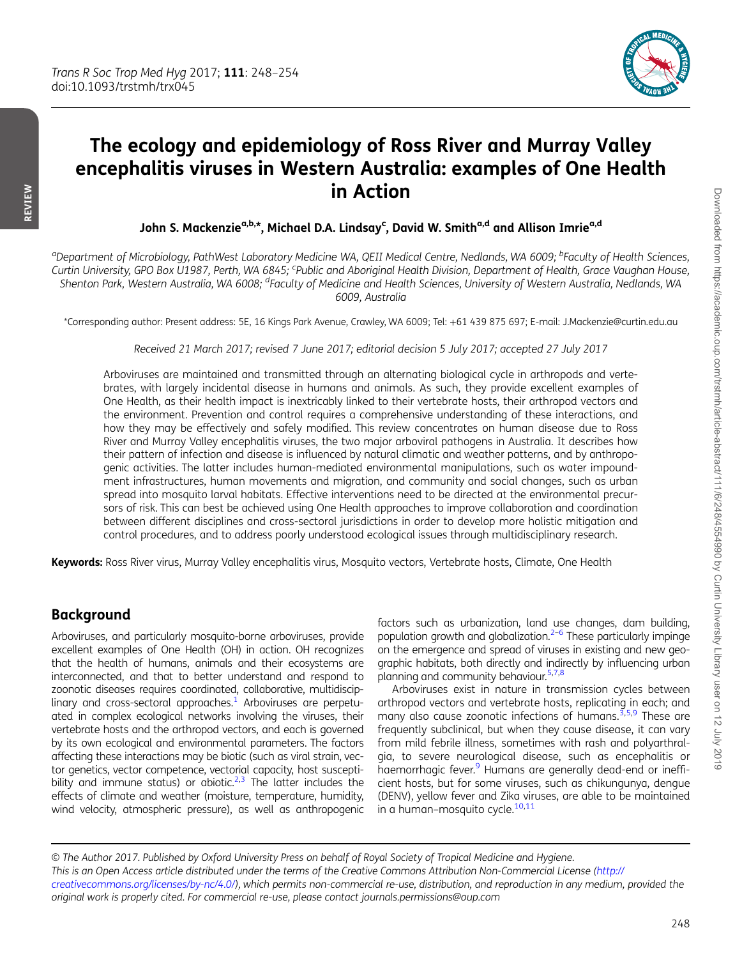

# The ecology and epidemiology of Ross River and Murray Valley encephalitis viruses in Western Australia: examples of One Health in Action

John S. Mackenzie<sup>a,b,\*</sup>, Michael D.A. Lindsay<sup>c</sup>, David W. Smith<sup>a,d</sup> and Allison Imrie<sup>a,d</sup>

<sup>a</sup>Department of Microbiology, PathWest Laboratory Medicine WA, QEII Medical Centre, Nedlands, WA 6009; <sup>b</sup>Faculty of Health Sciences, Curtin University, GPO Box U1987, Perth, WA 6845; <sup>c</sup>Public and Aboriginal Health Division, Department of Health, Grace Vaughan House, Shenton Park, Western Australia, WA 6008; <sup>d</sup>Faculty of Medicine and Health Sciences, University of Western Australia, Nedlands, WA 6009, Australia

\*Corresponding author: Present address: 5E, 16 Kings Park Avenue, Crawley, WA 6009; Tel: +61 439 875 697; E-mail: J.Mackenzie@curtin.edu.au

Received 21 March 2017; revised 7 June 2017; editorial decision 5 July 2017; accepted 27 July 2017

Arboviruses are maintained and transmitted through an alternating biological cycle in arthropods and vertebrates, with largely incidental disease in humans and animals. As such, they provide excellent examples of One Health, as their health impact is inextricably linked to their vertebrate hosts, their arthropod vectors and the environment. Prevention and control requires a comprehensive understanding of these interactions, and how they may be effectively and safely modified. This review concentrates on human disease due to Ross River and Murray Valley encephalitis viruses, the two major arboviral pathogens in Australia. It describes how their pattern of infection and disease is influenced by natural climatic and weather patterns, and by anthropogenic activities. The latter includes human-mediated environmental manipulations, such as water impoundment infrastructures, human movements and migration, and community and social changes, such as urban spread into mosquito larval habitats. Effective interventions need to be directed at the environmental precursors of risk. This can best be achieved using One Health approaches to improve collaboration and coordination between different disciplines and cross-sectoral jurisdictions in order to develop more holistic mitigation and control procedures, and to address poorly understood ecological issues through multidisciplinary research.

Keywords: Ross River virus, Murray Valley encephalitis virus, Mosquito vectors, Vertebrate hosts, Climate, One Health

## Background

Arboviruses, and particularly mosquito-borne arboviruses, provide excellent examples of One Health (OH) in action. OH recognizes that the health of humans, animals and their ecosystems are interconnected, and that to better understand and respond to zoonotic diseases requires coordinated, collaborative, multidisciplinary and cross-sectoral approaches. $1$  Arboviruses are perpetuated in complex ecological networks involving the viruses, their vertebrate hosts and the arthropod vectors, and each is governed by its own ecological and environmental parameters. The factors affecting these interactions may be biotic (such as viral strain, vector genetics, vector competence, vectorial capacity, host suscepti-bility and immune status) or abiotic.<sup>2,[3](#page-5-0)</sup> The latter includes the effects of climate and weather (moisture, temperature, humidity, wind velocity, atmospheric pressure), as well as anthropogenic

factors such as urbanization, land use changes, dam building, population growth and globalization. $2-6$  $2-6$  These particularly impinge on the emergence and spread of viruses in existing and new geographic habitats, both directly and indirectly by influencing urban planning and community behaviour.[5,7,8](#page-5-0)

Arboviruses exist in nature in transmission cycles between arthropod vectors and vertebrate hosts, replicating in each; and many also cause zoonotic infections of humans. $3,5,9$  $3,5,9$  $3,5,9$  These are frequently subclinical, but when they cause disease, it can vary from mild febrile illness, sometimes with rash and polyarthralgia, to severe neurological disease, such as encephalitis or haemorrhagic fever.<sup>[9](#page-5-0)</sup> Humans are generally dead-end or inefficient hosts, but for some viruses, such as chikungunya, dengue (DENV), yellow fever and Zika viruses, are able to be maintained in a human–mosquito cycle. $10,11$ 

© The Author 2017. Published by Oxford University Press on behalf of Royal Society of Tropical Medicine and Hygiene. This is an Open Access article distributed under the terms of the Creative Commons Attribution Non-Commercial License ([http://](http://creativecommons.org/licenses/by-nc/4.0/) [creativecommons.org/licenses/by-nc/4.0/](http://creativecommons.org/licenses/by-nc/4.0/)), which permits non-commercial re-use, distribution, and reproduction in any medium, provided the original work is properly cited. For commercial re-use, please contact journals.permissions@oup.com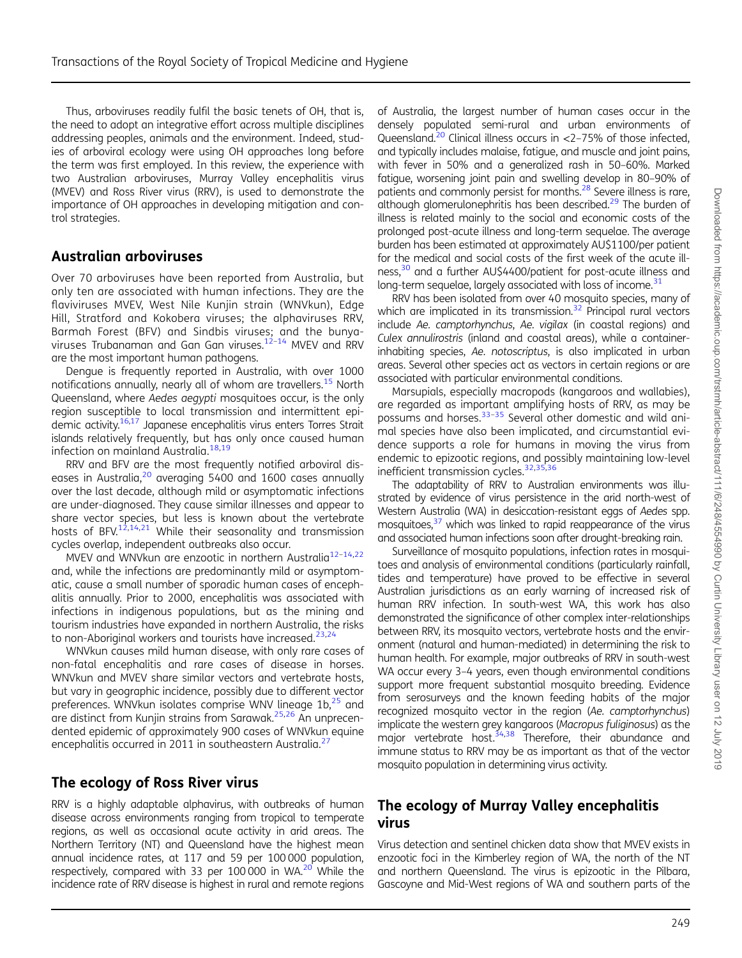Downloaded from https://academic.oup.com/trstmh/article-abstract/111/6/248/4554990 by Curtin University Library user on 12 July 2019 Downloaded from https://academic.oup.com/trstmh/article-abstract/111/6/248/4554990 by Curtin University Library user on 12 July 2019

Thus, arboviruses readily fulfil the basic tenets of OH, that is, the need to adopt an integrative effort across multiple disciplines addressing peoples, animals and the environment. Indeed, studies of arboviral ecology were using OH approaches long before the term was first employed. In this review, the experience with two Australian arboviruses, Murray Valley encephalitis virus (MVEV) and Ross River virus (RRV), is used to demonstrate the importance of OH approaches in developing mitigation and control strategies.

## Australian arboviruses

Over 70 arboviruses have been reported from Australia, but only ten are associated with human infections. They are the flaviviruses MVEV, West Nile Kunjin strain (WNVkun), Edge Hill, Stratford and Kokobera viruses; the alphaviruses RRV, Barmah Forest (BFV) and Sindbis viruses; and the bunya-viruses Trubanaman and Gan Gan viruses.<sup>12-[14](#page-5-0)</sup> MVEV and RRV are the most important human pathogens.

Dengue is frequently reported in Australia, with over 1000 notifications annually, nearly all of whom are travellers.[15](#page-5-0) North Queensland, where Aedes aegypti mosquitoes occur, is the only region susceptible to local transmission and intermittent epidemic activity[.16](#page-5-0),[17](#page-5-0) Japanese encephalitis virus enters Torres Strait islands relatively frequently, but has only once caused human infection on mainland Australia.<sup>[18,19](#page-5-0)</sup>

RRV and BFV are the most frequently notified arboviral diseases in Australia, $20$  averaging 5400 and 1600 cases annually over the last decade, although mild or asymptomatic infections are under-diagnosed. They cause similar illnesses and appear to share vector species, but less is known about the vertebrate hosts of BFV.<sup>[12](#page-5-0),[14,21](#page-5-0)</sup> While their seasonality and transmission cycles overlap, independent outbreaks also occur.

MVEV and WNVkun are enzootic in northern Australia<sup>[12](#page-5-0)-[14](#page-5-0),[22](#page-5-0)</sup> and, while the infections are predominantly mild or asymptomatic, cause a small number of sporadic human cases of encephalitis annually. Prior to 2000, encephalitis was associated with infections in indigenous populations, but as the mining and tourism industries have expanded in northern Australia, the risks to non-Aboriginal workers and tourists have increased. $^{23,24}$  $^{23,24}$  $^{23,24}$  $^{23,24}$  $^{23,24}$ 

WNVkun causes mild human disease, with only rare cases of non-fatal encephalitis and rare cases of disease in horses. WNVkun and MVEV share similar vectors and vertebrate hosts, but vary in geographic incidence, possibly due to different vector preferences. WNVkun isolates comprise WNV lineage  $1b<sub>1</sub><sup>25</sup>$  $1b<sub>1</sub><sup>25</sup>$  $1b<sub>1</sub><sup>25</sup>$  and are distinct from Kunjin strains from Sarawak.<sup>25,[26](#page-5-0)</sup> An unprecendented epidemic of approximately 900 cases of WNVkun equine encephalitis occurred in 2011 in southeastern Australia.<sup>[27](#page-5-0)</sup>

# The ecology of Ross River virus

RRV is a highly adaptable alphavirus, with outbreaks of human disease across environments ranging from tropical to temperate regions, as well as occasional acute activity in arid areas. The Northern Territory (NT) and Queensland have the highest mean annual incidence rates, at 117 and 59 per 100 000 population, respectively, compared with 33 per 100 000 in WA. $^{20}$  While the incidence rate of RRV disease is highest in rural and remote regions

of Australia, the largest number of human cases occur in the densely populated semi-rural and urban environments of Queensland.<sup>20</sup> Clinical illness occurs in  $\langle 2-75\%$  of those infected, and typically includes malaise, fatigue, and muscle and joint pains, with fever in 50% and a generalized rash in 50–60%. Marked fatigue, worsening joint pain and swelling develop in 80–90% of patients and commonly persist for months[.28](#page-5-0) Severe illness is rare, although glomerulonephritis has been described.<sup>29</sup> The burden of illness is related mainly to the social and economic costs of the prolonged post-acute illness and long-term sequelae. The average burden has been estimated at approximately AU\$1100/per patient for the medical and social costs of the first week of the acute illness,<sup>30</sup> and a further AU\$4400/patient for post-acute illness and long-term sequelae, largely associated with loss of income.<sup>[31](#page-5-0)</sup>

RRV has been isolated from over 40 mosquito species, many of which are implicated in its transmission. $32$  Principal rural vectors include Ae. camptorhynchus, Ae. vigilax (in coastal regions) and Culex annulirostris (inland and coastal areas), while a containerinhabiting species, Ae. notoscriptus, is also implicated in urban areas. Several other species act as vectors in certain regions or are associated with particular environmental conditions.

Marsupials, especially macropods (kangaroos and wallabies), are regarded as important amplifying hosts of RRV, as may be possums and horses. $33-35$  $33-35$  $33-35$  Several other domestic and wild animal species have also been implicated, and circumstantial evidence supports a role for humans in moving the virus from endemic to epizootic regions, and possibly maintaining low-level inefficient transmission cycles.<sup>32,35,[36](#page-6-0)</sup>

The adaptability of RRV to Australian environments was illustrated by evidence of virus persistence in the arid north-west of Western Australia (WA) in desiccation-resistant eggs of Aedes spp. mosquitoes, $37$  which was linked to rapid reappearance of the virus and associated human infections soon after drought-breaking rain.

Surveillance of mosquito populations, infection rates in mosquitoes and analysis of environmental conditions (particularly rainfall, tides and temperature) have proved to be effective in several Australian jurisdictions as an early warning of increased risk of human RRV infection. In south-west WA, this work has also demonstrated the significance of other complex inter-relationships between RRV, its mosquito vectors, vertebrate hosts and the environment (natural and human-mediated) in determining the risk to human health. For example, major outbreaks of RRV in south-west WA occur every 3-4 years, even though environmental conditions support more frequent substantial mosquito breeding. Evidence from serosurveys and the known feeding habits of the major recognized mosquito vector in the region (Ae. camptorhynchus) implicate the western grey kangaroos (Macropus fuliginosus) as the major vertebrate host.<sup>[34](#page-5-0)[,38](#page-6-0)</sup> Therefore, their abundance and immune status to RRV may be as important as that of the vector mosquito population in determining virus activity.

## The ecology of Murray Valley encephalitis virus

Virus detection and sentinel chicken data show that MVEV exists in enzootic foci in the Kimberley region of WA, the north of the NT and northern Queensland. The virus is epizootic in the Pilbara, Gascoyne and Mid-West regions of WA and southern parts of the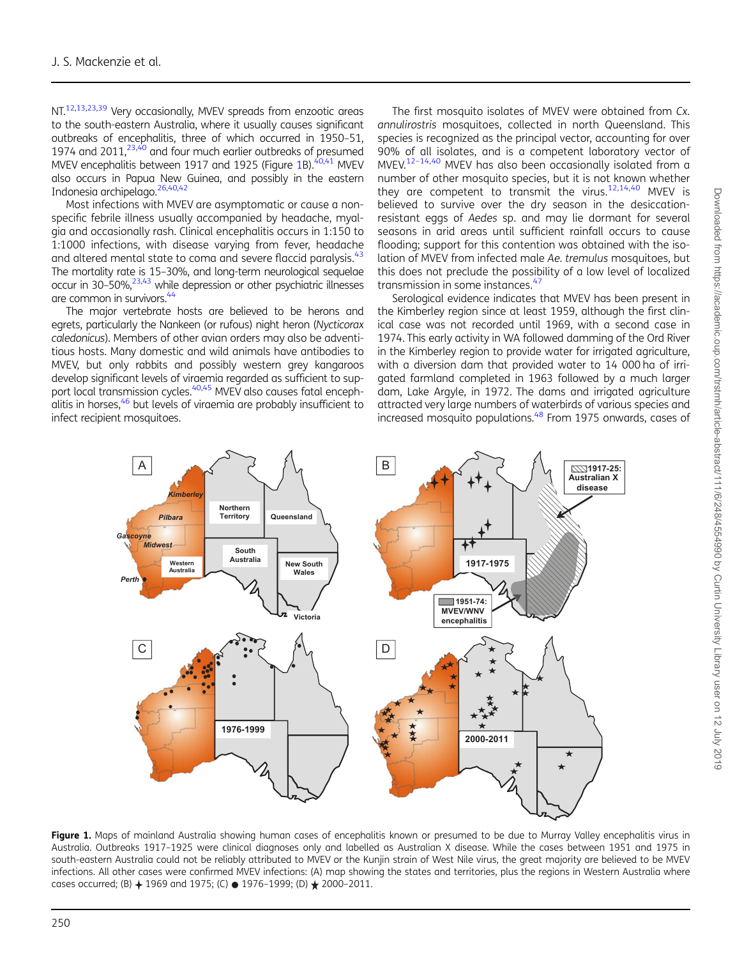<span id="page-2-0"></span>NT.<sup>12,13,23[,39](#page-6-0)</sup> Very occasionally, MVEV spreads from enzootic areas to the south-eastern Australia, where it usually causes significant outbreaks of encephalitis, three of which occurred in 1950–51, 1974 and 2011, $23,40$  $23,40$  $23,40$  and four much earlier outbreaks of presumed MVEV encephalitis between 1917 and 1925 (Figure 1B). $40,41$  MVEV also occurs in Papua New Guinea, and possibly in the eastern Indonesia archipelago.[26](#page-5-0),[40](#page-6-0),[42](#page-6-0)

Most infections with MVEV are asymptomatic or cause a nonspecific febrile illness usually accompanied by headache, myalgia and occasionally rash. Clinical encephalitis occurs in 1:150 to 1:1000 infections, with disease varying from fever, headache and altered mental state to coma and severe flaccid paralysis.<sup>[43](#page-6-0)</sup> The mortality rate is 15–30%, and long-term neurological sequelae occur in  $30-50\%$ ,  $23,43$  $23,43$  while depression or other psychiatric illnesses are common in survivors.<sup>[44](#page-6-0)</sup>

The major vertebrate hosts are believed to be herons and egrets, particularly the Nankeen (or rufous) night heron (Nycticorax caledonicus). Members of other avian orders may also be adventitious hosts. Many domestic and wild animals have antibodies to MVEV, but only rabbits and possibly western grey kangaroos develop significant levels of viraemia regarded as sufficient to sup-port local transmission cycles.<sup>[40,45](#page-6-0)</sup> MVEV also causes fatal enceph-alitis in horses,<sup>[46](#page-6-0)</sup> but levels of viraemia are probably insufficient to infect recipient mosquitoes.

The first mosquito isolates of MVEV were obtained from Cx. annulirostris mosquitoes, collected in north Queensland. This species is recognized as the principal vector, accounting for over 90% of all isolates, and is a competent laboratory vector of MVEV.[12](#page-5-0)–[14,](#page-5-0)[40](#page-6-0) MVEV has also been occasionally isolated from a number of other mosquito species, but it is not known whether they are competent to transmit the virus. $12,14,40$  $12,14,40$  $12,14,40$  MVEV is believed to survive over the dry season in the desiccationresistant eggs of Aedes sp. and may lie dormant for several seasons in arid areas until sufficient rainfall occurs to cause flooding; support for this contention was obtained with the isolation of MVEV from infected male Ae. tremulus mosquitoes, but this does not preclude the possibility of a low level of localized transmission in some instances.[47](#page-6-0)

Serological evidence indicates that MVEV has been present in the Kimberley region since at least 1959, although the first clinical case was not recorded until 1969, with a second case in 1974. This early activity in WA followed damming of the Ord River in the Kimberley region to provide water for irrigated agriculture, with a diversion dam that provided water to 14 000 ha of irrigated farmland completed in 1963 followed by a much larger dam, Lake Argyle, in 1972. The dams and irrigated agriculture attracted very large numbers of waterbirds of various species and increased mosquito populations.<sup>48</sup> From 1975 onwards, cases of



Figure 1. Maps of mainland Australia showing human cases of encephalitis known or presumed to be due to Murray Valley encephalitis virus in Australia. Outbreaks 1917–1925 were clinical diagnoses only and labelled as Australian X disease. While the cases between 1951 and 1975 in south-eastern Australia could not be reliably attributed to MVEV or the Kunjin strain of West Nile virus, the great majority are believed to be MVEV infections. All other cases were confirmed MVEV infections: (A) map showing the states and territories, plus the regions in Western Australia where cases occurred; (B)  $+$  1969 and 1975; (C)  $\bullet$  1976–1999; (D)  $\star$  2000–2011.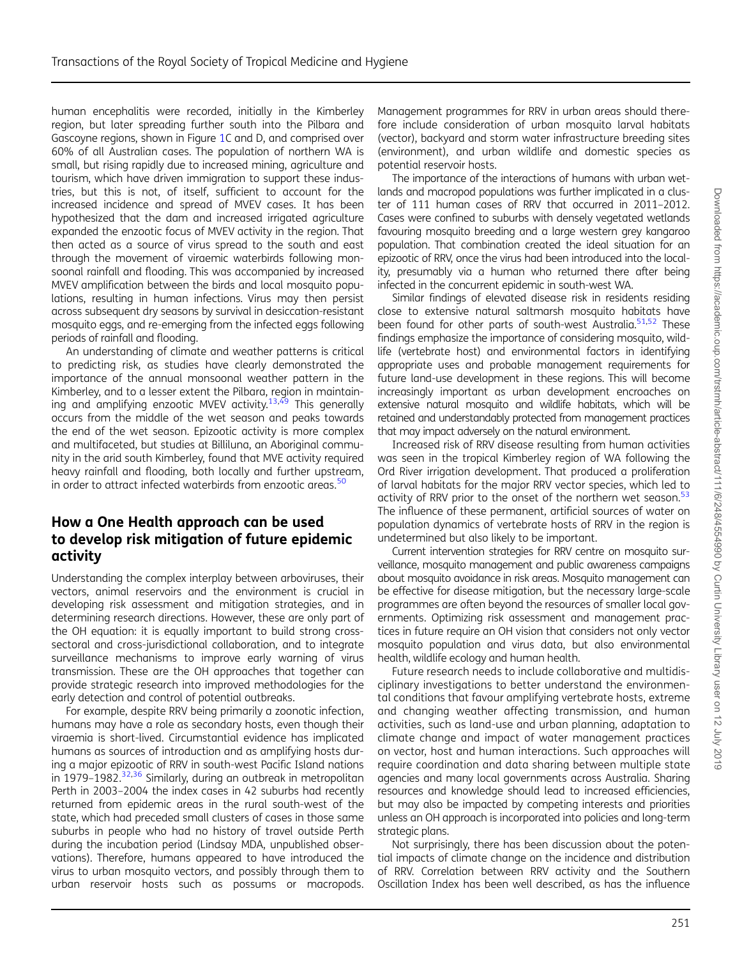Downloaded from https://academic.oup.com/trstmh/article-abstract/111/6/248/4554990 by Curtin University Library user on 12 July 2019 Downloaded from https://academic.oup.com/trstmh/article-abstract/111/6/248/4554990 by Curtin University Library user on 12 July 2019

human encephalitis were recorded, initially in the Kimberley region, but later spreading further south into the Pilbara and Gascoyne regions, shown in Figure [1](#page-2-0)C and D, and comprised over 60% of all Australian cases. The population of northern WA is small, but rising rapidly due to increased mining, agriculture and tourism, which have driven immigration to support these industries, but this is not, of itself, sufficient to account for the increased incidence and spread of MVEV cases. It has been hypothesized that the dam and increased irrigated agriculture expanded the enzootic focus of MVEV activity in the region. That then acted as a source of virus spread to the south and east through the movement of viraemic waterbirds following monsoonal rainfall and flooding. This was accompanied by increased MVEV amplification between the birds and local mosquito populations, resulting in human infections. Virus may then persist across subsequent dry seasons by survival in desiccation-resistant mosquito eggs, and re-emerging from the infected eggs following periods of rainfall and flooding.

An understanding of climate and weather patterns is critical to predicting risk, as studies have clearly demonstrated the importance of the annual monsoonal weather pattern in the Kimberley, and to a lesser extent the Pilbara, region in maintain-ing and amplifying enzootic MVEV activity.<sup>13,[49](#page-6-0)</sup> This generally occurs from the middle of the wet season and peaks towards the end of the wet season. Epizootic activity is more complex and multifaceted, but studies at Billiluna, an Aboriginal community in the arid south Kimberley, found that MVE activity required heavy rainfall and flooding, both locally and further upstream, in order to attract infected waterbirds from enzootic areas.<sup>[50](#page-6-0)</sup>

### How a One Health approach can be used to develop risk mitigation of future epidemic activity

Understanding the complex interplay between arboviruses, their vectors, animal reservoirs and the environment is crucial in developing risk assessment and mitigation strategies, and in determining research directions. However, these are only part of the OH equation: it is equally important to build strong crosssectoral and cross-jurisdictional collaboration, and to integrate surveillance mechanisms to improve early warning of virus transmission. These are the OH approaches that together can provide strategic research into improved methodologies for the early detection and control of potential outbreaks.

For example, despite RRV being primarily a zoonotic infection, humans may have a role as secondary hosts, even though their viraemia is short-lived. Circumstantial evidence has implicated humans as sources of introduction and as amplifying hosts during a major epizootic of RRV in south-west Pacific Island nations in 1979–1982.<sup>[32](#page-5-0),[36](#page-6-0)</sup> Similarly, during an outbreak in metropolitan Perth in 2003–2004 the index cases in 42 suburbs had recently returned from epidemic areas in the rural south-west of the state, which had preceded small clusters of cases in those same suburbs in people who had no history of travel outside Perth during the incubation period (Lindsay MDA, unpublished observations). Therefore, humans appeared to have introduced the virus to urban mosquito vectors, and possibly through them to urban reservoir hosts such as possums or macropods.

Management programmes for RRV in urban areas should therefore include consideration of urban mosquito larval habitats (vector), backyard and storm water infrastructure breeding sites (environment), and urban wildlife and domestic species as potential reservoir hosts.

The importance of the interactions of humans with urban wetlands and macropod populations was further implicated in a cluster of 111 human cases of RRV that occurred in 2011–2012. Cases were confined to suburbs with densely vegetated wetlands favouring mosquito breeding and a large western grey kangaroo population. That combination created the ideal situation for an epizootic of RRV, once the virus had been introduced into the locality, presumably via a human who returned there after being infected in the concurrent epidemic in south-west WA.

Similar findings of elevated disease risk in residents residing close to extensive natural saltmarsh mosquito habitats have been found for other parts of south-west Australia.<sup>[51](#page-6-0),[52](#page-6-0)</sup> These findings emphasize the importance of considering mosquito, wildlife (vertebrate host) and environmental factors in identifying appropriate uses and probable management requirements for future land-use development in these regions. This will become increasingly important as urban development encroaches on extensive natural mosquito and wildlife habitats, which will be retained and understandably protected from management practices that may impact adversely on the natural environment.

Increased risk of RRV disease resulting from human activities was seen in the tropical Kimberley region of WA following the Ord River irrigation development. That produced a proliferation of larval habitats for the major RRV vector species, which led to activity of RRV prior to the onset of the northern wet season.<sup>[53](#page-6-0)</sup> The influence of these permanent, artificial sources of water on population dynamics of vertebrate hosts of RRV in the region is undetermined but also likely to be important.

Current intervention strategies for RRV centre on mosquito surveillance, mosquito management and public awareness campaigns about mosquito avoidance in risk areas. Mosquito management can be effective for disease mitigation, but the necessary large-scale programmes are often beyond the resources of smaller local governments. Optimizing risk assessment and management practices in future require an OH vision that considers not only vector mosquito population and virus data, but also environmental health, wildlife ecology and human health.

Future research needs to include collaborative and multidisciplinary investigations to better understand the environmental conditions that favour amplifying vertebrate hosts, extreme and changing weather affecting transmission, and human activities, such as land-use and urban planning, adaptation to climate change and impact of water management practices on vector, host and human interactions. Such approaches will require coordination and data sharing between multiple state agencies and many local governments across Australia. Sharing resources and knowledge should lead to increased efficiencies, but may also be impacted by competing interests and priorities unless an OH approach is incorporated into policies and long-term strategic plans.

Not surprisingly, there has been discussion about the potential impacts of climate change on the incidence and distribution of RRV. Correlation between RRV activity and the Southern Oscillation Index has been well described, as has the influence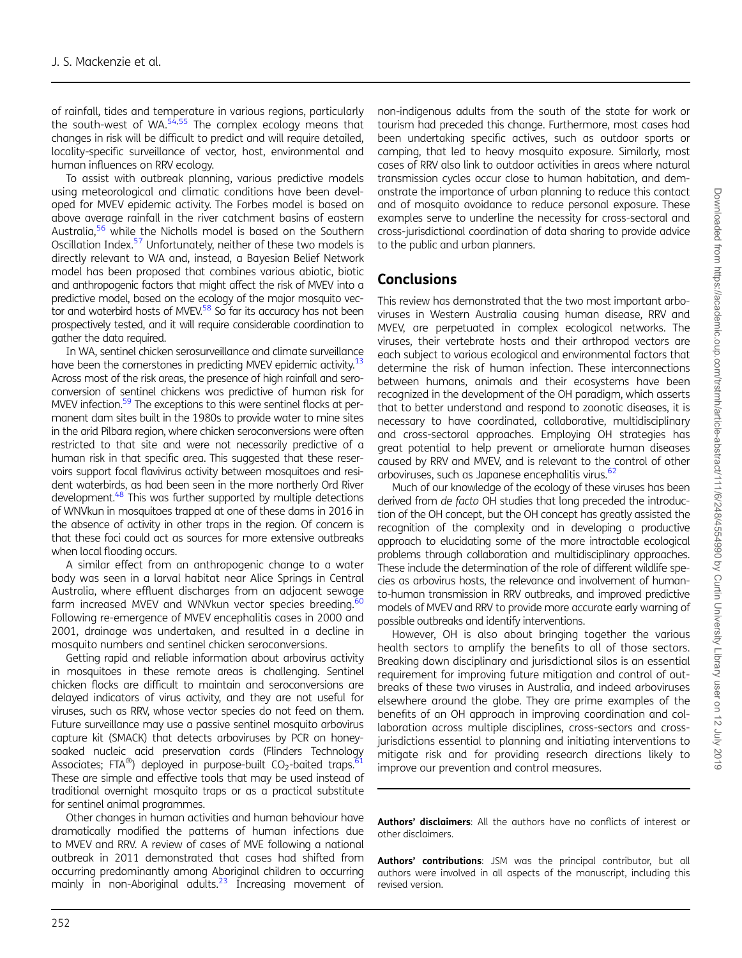of rainfall, tides and temperature in various regions, particularly the south-west of WA.<sup>54,55</sup> The complex ecology means that changes in risk will be difficult to predict and will require detailed, locality-specific surveillance of vector, host, environmental and human influences on RRV ecology.

To assist with outbreak planning, various predictive models using meteorological and climatic conditions have been developed for MVEV epidemic activity. The Forbes model is based on above average rainfall in the river catchment basins of eastern Australia,<sup>56</sup> while the Nicholls model is based on the Southern Oscillation Index[.57](#page-6-0) Unfortunately, neither of these two models is directly relevant to WA and, instead, a Bayesian Belief Network model has been proposed that combines various abiotic, biotic and anthropogenic factors that might affect the risk of MVEV into a predictive model, based on the ecology of the major mosquito vector and waterbird hosts of MVEV.<sup>58</sup> So far its accuracy has not been prospectively tested, and it will require considerable coordination to gather the data required.

In WA, sentinel chicken serosurveillance and climate surveillance have been the cornerstones in predicting MVEV epidemic activity.<sup>13</sup> Across most of the risk areas, the presence of high rainfall and seroconversion of sentinel chickens was predictive of human risk for MVEV infection.<sup>59</sup> The exceptions to this were sentinel flocks at permanent dam sites built in the 1980s to provide water to mine sites in the arid Pilbara region, where chicken seroconversions were often restricted to that site and were not necessarily predictive of a human risk in that specific area. This suggested that these reservoirs support focal flavivirus activity between mosquitoes and resident waterbirds, as had been seen in the more northerly Ord River development.<sup>48</sup> This was further supported by multiple detections of WNVkun in mosquitoes trapped at one of these dams in 2016 in the absence of activity in other traps in the region. Of concern is that these foci could act as sources for more extensive outbreaks when local flooding occurs.

A similar effect from an anthropogenic change to a water body was seen in a larval habitat near Alice Springs in Central Australia, where effluent discharges from an adjacent sewage farm increased MVEV and WNVkun vector species breeding.<sup>[60](#page-6-0)</sup> Following re-emergence of MVEV encephalitis cases in 2000 and 2001, drainage was undertaken, and resulted in a decline in mosquito numbers and sentinel chicken seroconversions.

Getting rapid and reliable information about arbovirus activity in mosquitoes in these remote areas is challenging. Sentinel chicken flocks are difficult to maintain and seroconversions are delayed indicators of virus activity, and they are not useful for viruses, such as RRV, whose vector species do not feed on them. Future surveillance may use a passive sentinel mosquito arbovirus capture kit (SMACK) that detects arboviruses by PCR on honeysoaked nucleic acid preservation cards (Flinders Technology Associates; FTA<sup>®</sup>) deployed in purpose-built  $CO<sub>2</sub>$ -baited traps.<sup>6</sup> These are simple and effective tools that may be used instead of traditional overnight mosquito traps or as a practical substitute for sentinel animal programmes.

Other changes in human activities and human behaviour have dramatically modified the patterns of human infections due to MVEV and RRV. A review of cases of MVE following a national outbreak in 2011 demonstrated that cases had shifted from occurring predominantly among Aboriginal children to occurring mainly in non-Aboriginal adults.<sup>23</sup> Increasing movement of non-indigenous adults from the south of the state for work or tourism had preceded this change. Furthermore, most cases had been undertaking specific actives, such as outdoor sports or camping, that led to heavy mosquito exposure. Similarly, most cases of RRV also link to outdoor activities in areas where natural transmission cycles occur close to human habitation, and demonstrate the importance of urban planning to reduce this contact and of mosquito avoidance to reduce personal exposure. These examples serve to underline the necessity for cross-sectoral and cross-jurisdictional coordination of data sharing to provide advice to the public and urban planners.

## **Conclusions**

This review has demonstrated that the two most important arboviruses in Western Australia causing human disease, RRV and MVEV, are perpetuated in complex ecological networks. The viruses, their vertebrate hosts and their arthropod vectors are each subject to various ecological and environmental factors that determine the risk of human infection. These interconnections between humans, animals and their ecosystems have been recognized in the development of the OH paradigm, which asserts that to better understand and respond to zoonotic diseases, it is necessary to have coordinated, collaborative, multidisciplinary and cross-sectoral approaches. Employing OH strategies has great potential to help prevent or ameliorate human diseases caused by RRV and MVEV, and is relevant to the control of other arboviruses, such as Japanese encephalitis virus.<sup>[62](#page-6-0)</sup>

Much of our knowledge of the ecology of these viruses has been derived from de facto OH studies that long preceded the introduction of the OH concept, but the OH concept has greatly assisted the recognition of the complexity and in developing a productive approach to elucidating some of the more intractable ecological problems through collaboration and multidisciplinary approaches. These include the determination of the role of different wildlife species as arbovirus hosts, the relevance and involvement of humanto-human transmission in RRV outbreaks, and improved predictive models of MVEV and RRV to provide more accurate early warning of possible outbreaks and identify interventions.

However, OH is also about bringing together the various health sectors to amplify the benefits to all of those sectors. Breaking down disciplinary and jurisdictional silos is an essential requirement for improving future mitigation and control of outbreaks of these two viruses in Australia, and indeed arboviruses elsewhere around the globe. They are prime examples of the benefits of an OH approach in improving coordination and collaboration across multiple disciplines, cross-sectors and crossjurisdictions essential to planning and initiating interventions to mitigate risk and for providing research directions likely to improve our prevention and control measures.

Authors' disclaimers: All the authors have no conflicts of interest or other disclaimers.

Authors' contributions: JSM was the principal contributor, but all authors were involved in all aspects of the manuscript, including this revised version.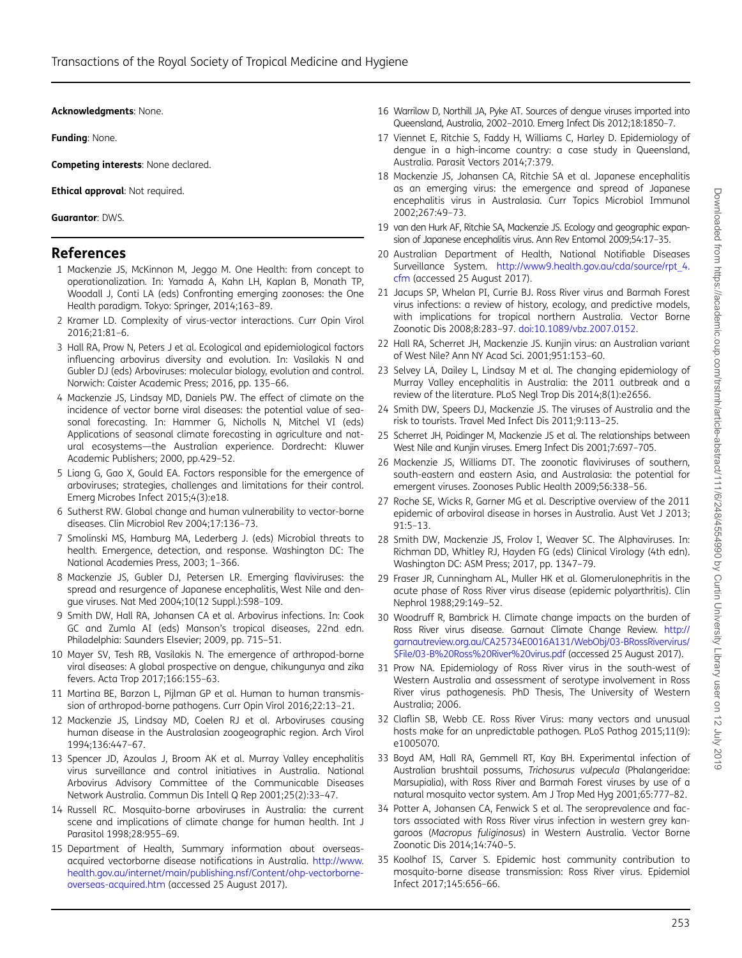<span id="page-5-0"></span>Acknowledgments: None.

Funding: None.

Competing interests: None declared.

**Ethical approval: Not required.** 

Guarantor: DWS.

### References

- 1 Mackenzie JS, McKinnon M, Jeggo M. One Health: from concept to operationalization. In: Yamada A, Kahn LH, Kaplan B, Monath TP, Woodall J, Conti LA (eds) Confronting emerging zoonoses: the One Health paradigm. Tokyo: Springer, 2014;163–89.
- 2 Kramer LD. Complexity of virus-vector interactions. Curr Opin Virol 2016;21:81–6.
- 3 Hall RA, Prow N, Peters J et al. Ecological and epidemiological factors influencing arbovirus diversity and evolution. In: Vasilakis N and Gubler DJ (eds) Arboviruses: molecular biology, evolution and control. Norwich: Caister Academic Press; 2016, pp. 135–66.
- 4 Mackenzie JS, Lindsay MD, Daniels PW. The effect of climate on the incidence of vector borne viral diseases: the potential value of seasonal forecasting. In: Hammer G, Nicholls N, Mitchel VI (eds) Applications of seasonal climate forecasting in agriculture and natural ecosystems—the Australian experience. Dordrecht: Kluwer Academic Publishers; 2000, pp.429–52.
- 5 Liang G, Gao X, Gould EA. Factors responsible for the emergence of arboviruses; strategies, challenges and limitations for their control. Emerg Microbes Infect 2015;4(3):e18.
- 6 Sutherst RW. Global change and human vulnerability to vector-borne diseases. Clin Microbiol Rev 2004;17:136–73.
- 7 Smolinski MS, Hamburg MA, Lederberg J. (eds) Microbial threats to health. Emergence, detection, and response. Washington DC: The National Academies Press, 2003; 1–366.
- 8 Mackenzie JS, Gubler DJ, Petersen LR. Emerging flaviviruses: the spread and resurgence of Japanese encephalitis, West Nile and dengue viruses. Nat Med 2004;10(12 Suppl.):S98–109.
- 9 Smith DW, Hall RA, Johansen CA et al. Arbovirus infections. In: Cook GC and Zumla AI (eds) Manson's tropical diseases, 22nd edn. Philadelphia: Saunders Elsevier; 2009, pp. 715–51.
- 10 Mayer SV, Tesh RB, Vasilakis N. The emergence of arthropod-borne viral diseases: A global prospective on dengue, chikungunya and zika fevers. Acta Trop 2017;166:155–63.
- 11 Martina BE, Barzon L, Pijlman GP et al. Human to human transmission of arthropod-borne pathogens. Curr Opin Virol 2016;22:13–21.
- 12 Mackenzie JS, Lindsay MD, Coelen RJ et al. Arboviruses causing human disease in the Australasian zoogeographic region. Arch Virol 1994;136:447–67.
- 13 Spencer JD, Azoulas J, Broom AK et al. Murray Valley encephalitis virus surveillance and control initiatives in Australia. National Arbovirus Advisory Committee of the Communicable Diseases Network Australia. Commun Dis Intell Q Rep 2001;25(2):33–47.
- 14 Russell RC. Mosquito-borne arboviruses in Australia: the current scene and implications of climate change for human health. Int J Parasitol 1998;28:955–69.
- 15 Department of Health, Summary information about overseasacquired vectorborne disease notifications in Australia. [http://www.](http://www.health.gov.au/internet/main/publishing.nsf/Content/ohp-vectorborne-overseas-acquired.htm) [health.gov.au/internet/main/publishing.nsf/Content/ohp-vectorborne](http://www.health.gov.au/internet/main/publishing.nsf/Content/ohp-vectorborne-overseas-acquired.htm)[overseas-acquired.htm](http://www.health.gov.au/internet/main/publishing.nsf/Content/ohp-vectorborne-overseas-acquired.htm) (accessed 25 August 2017).
- 16 Warrilow D, Northill JA, Pyke AT. Sources of dengue viruses imported into Queensland, Australia, 2002–2010. Emerg Infect Dis 2012;18:1850–7.
- 17 Viennet E, Ritchie S, Faddy H, Williams C, Harley D. Epidemiology of dengue in a high-income country: a case study in Queensland, Australia. Parasit Vectors 2014;7:379.
- 18 Mackenzie JS, Johansen CA, Ritchie SA et al. Japanese encephalitis as an emerging virus: the emergence and spread of Japanese encephalitis virus in Australasia. Curr Topics Microbiol Immunol 2002;267:49–73.
- 19 van den Hurk AF, Ritchie SA, Mackenzie JS. Ecology and geographic expansion of Japanese encephalitis virus. Ann Rev Entomol 2009;54:17–35.
- 20 Australian Department of Health, National Notifiable Diseases Surveillance System. [http://www9.health.gov.au/cda/source/rpt\\_4.](http://www9.health.gov.au/cda/source/rpt_4.cfm) [cfm](http://www9.health.gov.au/cda/source/rpt_4.cfm) (accessed 25 August 2017).
- 21 Jacups SP, Whelan PI, Currie BJ. Ross River virus and Barmah Forest virus infections: a review of history, ecology, and predictive models, with implications for tropical northern Australia. Vector Borne Zoonotic Dis 2008;8:283–97. [doi:10.1089/vbz.2007.0152](http://dx.doi.org/10.1089/vbz.2007.0152).
- 22 Hall RA, Scherret JH, Mackenzie JS. Kunjin virus: an Australian variant of West Nile? Ann NY Acad Sci. 2001;951:153–60.
- 23 Selvey LA, Dailey L, Lindsay M et al. The changing epidemiology of Murray Valley encephalitis in Australia: the 2011 outbreak and a review of the literature. PLoS Negl Trop Dis 2014;8(1):e2656.
- 24 Smith DW, Speers DJ, Mackenzie JS. The viruses of Australia and the risk to tourists. Travel Med Infect Dis 2011;9:113–25.
- 25 Scherret JH, Poidinger M, Mackenzie JS et al. The relationships between West Nile and Kunjin viruses. Emerg Infect Dis 2001;7:697–705.
- 26 Mackenzie JS, Williams DT. The zoonotic flaviviruses of southern, south-eastern and eastern Asia, and Australasia: the potential for emergent viruses. Zoonoses Public Health 2009;56:338–56.
- 27 Roche SE, Wicks R, Garner MG et al. Descriptive overview of the 2011 epidemic of arboviral disease in horses in Australia. Aust Vet J 2013; 91:5–13.
- 28 Smith DW, Mackenzie JS, Frolov I, Weaver SC. The Alphaviruses. In: Richman DD, Whitley RJ, Hayden FG (eds) Clinical Virology (4th edn). Washington DC: ASM Press; 2017, pp. 1347–79.
- 29 Fraser JR, Cunningham AL, Muller HK et al. Glomerulonephritis in the acute phase of Ross River virus disease (epidemic polyarthritis). Clin Nephrol 1988;29:149–52.
- 30 Woodruff R, Bambrick H. Climate change impacts on the burden of Ross River virus disease. Garnaut Climate Change Review. [http://](http://garnautreview.org.au/CA25734E0016A131/WebObj/03-BRossRivervirus/$File/03-B%20Ross%20River%20virus.pdf) [garnautreview.org.au/CA25734E0016A131/WebObj/03-BRossRivervirus/](http://garnautreview.org.au/CA25734E0016A131/WebObj/03-BRossRivervirus/$File/03-B%20Ross%20River%20virus.pdf) [\\$File/03-B%20Ross%20River%20virus.pdf](http://garnautreview.org.au/CA25734E0016A131/WebObj/03-BRossRivervirus/$File/03-B%20Ross%20River%20virus.pdf) (accessed 25 August 2017).
- 31 Prow NA. Epidemiology of Ross River virus in the south-west of Western Australia and assessment of serotype involvement in Ross River virus pathogenesis. PhD Thesis, The University of Western Australia; 2006.
- 32 Claflin SB, Webb CE. Ross River Virus: many vectors and unusual hosts make for an unpredictable pathogen. PLoS Pathog 2015;11(9): e1005070.
- 33 Boyd AM, Hall RA, Gemmell RT, Kay BH. Experimental infection of Australian brushtail possums, Trichosurus vulpecula (Phalangeridae: Marsupialia), with Ross River and Barmah Forest viruses by use of a natural mosquito vector system. Am J Trop Med Hyg 2001;65:777–82.
- 34 Potter A, Johansen CA, Fenwick S et al. The seroprevalence and factors associated with Ross River virus infection in western grey kangaroos (Macropus fuliginosus) in Western Australia. Vector Borne Zoonotic Dis 2014;14:740–5.
- 35 Koolhof IS, Carver S. Epidemic host community contribution to mosquito-borne disease transmission: Ross River virus. Epidemiol Infect 2017;145:656–66.